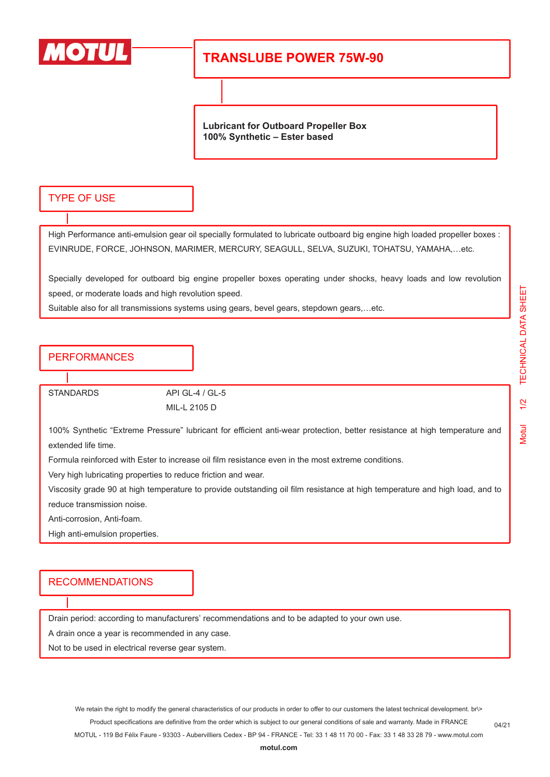

# **TRANSLUBE POWER 75W-90**

**Lubricant for Outboard Propeller Box 100% Synthetic – Ester based**

#### TYPE OF USE

High Performance anti-emulsion gear oil specially formulated to lubricate outboard big engine high loaded propeller boxes : EVINRUDE, FORCE, JOHNSON, MARIMER, MERCURY, SEAGULL, SELVA, SUZUKI, TOHATSU, YAMAHA,…etc.

Specially developed for outboard big engine propeller boxes operating under shocks, heavy loads and low revolution speed, or moderate loads and high revolution speed.

Suitable also for all transmissions systems using gears, bevel gears, stepdown gears,…etc.

#### PERFORMANCES

STANDARDS API GL-4 / GL-5

MIL-L 2105 D

100% Synthetic "Extreme Pressure" lubricant for efficient anti-wear protection, better resistance at high temperature and extended life time.

Formula reinforced with Ester to increase oil film resistance even in the most extreme conditions.

Very high lubricating properties to reduce friction and wear.

Viscosity grade 90 at high temperature to provide outstanding oil film resistance at high temperature and high load, and to reduce transmission noise.

Anti-corrosion, Anti-foam.

High anti-emulsion properties.

### RECOMMENDATIONS

Drain period: according to manufacturers' recommendations and to be adapted to your own use.

A drain once a year is recommended in any case.

Not to be used in electrical reverse gear system.

We retain the right to modify the general characteristics of our products in order to offer to our customers the latest technical development. br\> Product specifications are definitive from the order which is subject to our general conditions of sale and warranty. Made in FRANCE MOTUL - 119 Bd Félix Faure - 93303 - Aubervilliers Cedex - BP 94 - FRANCE - Tel: 33 1 48 11 70 00 - Fax: 33 1 48 33 28 79 - www.motul.com